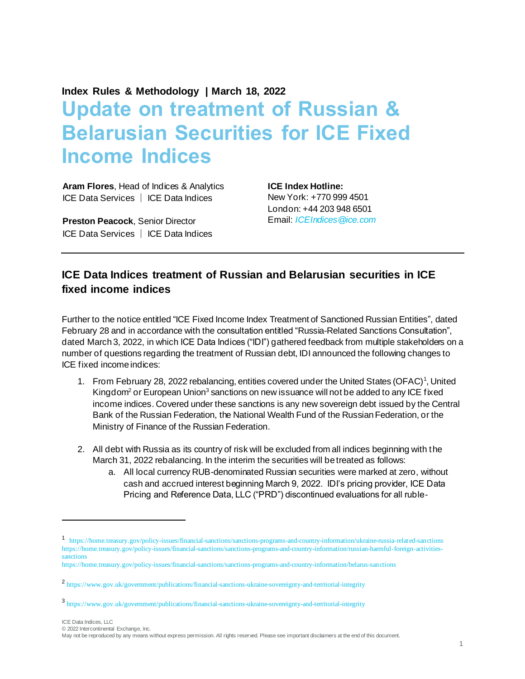**Index Rules & Methodology | March 18, 2022**

## **Update on treatment of Russian & Belarusian Securities for ICE Fixed Income Indices**

**Aram Flores**, Head of Indices & Analytics ICE Data Services │ ICE Data Indices

**Preston Peacock**, Senior Director ICE Data Services │ ICE Data Indices **ICE Index Hotline:** New York: +770 999 4501 London: +44 203 948 6501 Email: *[ICEIndices@ice.com](mailto:ICEIndices@ice.com)*

## **ICE Data Indices treatment of Russian and Belarusian securities in ICE fixed income indices**

Further to the notice entitled "ICE Fixed Income Index Treatment of Sanctioned Russian Entities", dated February 28 and in accordance with the consultation entitled "Russia-Related Sanctions Consultation", dated March 3, 2022, in which ICE Data Indices ("IDI") gathered feedback from multiple stakeholders on a number of questions regarding the treatment of Russian debt, IDI announced the following changes to ICE fixed income indices:

- 1. From February 28, 2022 rebalancing, entities covered under the United States (OFAC)<sup>1</sup>, United Kingdom<sup>2</sup> or European Union<sup>3</sup> sanctions on new issuance will not be added to any ICE fixed income indices. Covered under these sanctions is any new sovereign debt issued by the Central Bank of the Russian Federation, the National Wealth Fund of the Russian Federation, or the Ministry of Finance of the Russian Federation.
- 2. All debt with Russia as its country of risk will be excluded from all indices beginning with the March 31, 2022 rebalancing. In the interim the securities will be treated as follows:
	- a. All local currency RUB-denominated Russian securities were marked at zero, without cash and accrued interest beginning March 9, 2022. IDI's pricing provider, ICE Data Pricing and Reference Data, LLC ("PRD") discontinued evaluations for all ruble-

© 2022 Intercontinental Exchange, Inc.

<sup>1</sup> <https://home.treasury.gov/policy-issues/financial-sanctions/sanctions-programs-and-country-information/ukraine-russia-related-sanctions> [https://home.treasury.gov/policy-issues/financial-sanctions/sanctions-programs-and-country-information/russian-harmful-foreign-activities](https://home.treasury.gov/policy-issues/financial-sanctions/sanctions-programs-and-country-information/russian-harmful-foreign-activities-sanctions)[sanctions](https://home.treasury.gov/policy-issues/financial-sanctions/sanctions-programs-and-country-information/russian-harmful-foreign-activities-sanctions)

https://home.treasury.gov/policy-issues/financial-sanctions/sanctions-programs-and-country-information/belarus-sanctions

<sup>2</sup> https://www.gov.uk/government/publications/financial-sanctions-ukraine-sovereignty-and-territorial-integrity

<sup>3</sup> https://www.gov.uk/government/publications/financial-sanctions-ukraine-sovereignty-and-territorial-integrity

May not be reproduced by any means without express permission. All rights reserved. Please see important disclaimers at the end of this document.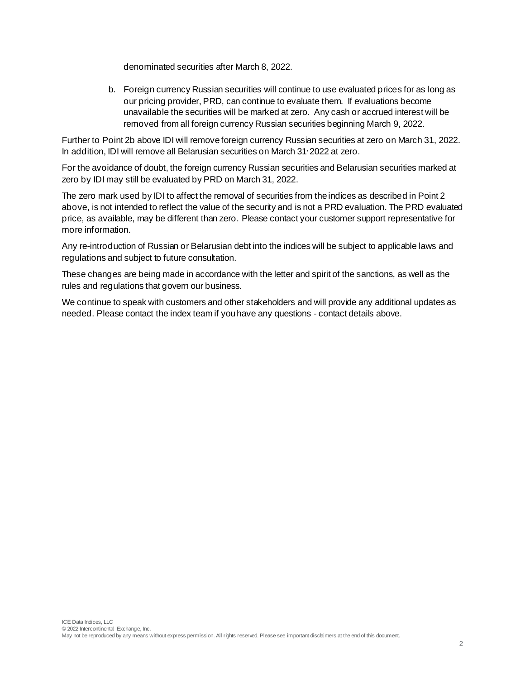denominated securities after March 8, 2022.

b. Foreign currency Russian securities will continue to use evaluated prices for as long as our pricing provider, PRD, can continue to evaluate them. If evaluations become unavailable the securities will be marked at zero. Any cash or accrued interest will be removed from all foreign currency Russian securities beginning March 9, 2022.

Further to Point 2b above IDI will remove foreign currency Russian securities at zero on March 31, 2022. In addition, IDI will remove all Belarusian securities on March 31, 2022 at zero.

For the avoidance of doubt, the foreign currency Russian securities and Belarusian securities marked at zero by IDI may still be evaluated by PRD on March 31, 2022.

The zero mark used by IDI to affect the removal of securities from the indices as described in Point 2 above, is not intended to reflect the value of the security and is not a PRD evaluation. The PRD evaluated price, as available, may be different than zero. Please contact your customer support representative for more information.

Any re-introduction of Russian or Belarusian debt into the indices will be subject to applicable laws and regulations and subject to future consultation.

These changes are being made in accordance with the letter and spirit of the sanctions, as well as the rules and regulations that govern our business.

We continue to speak with customers and other stakeholders and will provide any additional updates as needed. Please contact the index team if you have any questions - contact details above.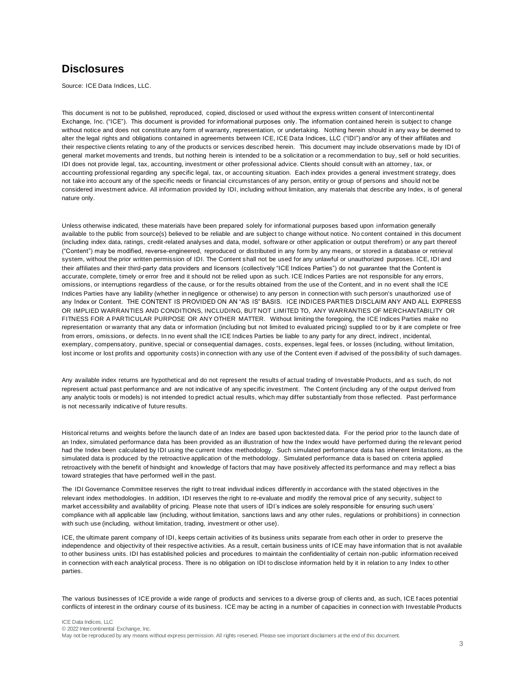## **Disclosures**

Source: ICE Data Indices, LLC.

This document is not to be published, reproduced, copied, disclosed or used without the express written consent of Intercontinental Exchange, Inc. ("ICE"). This document is provided for informational purposes only. The information cont ained herein is subject to change without notice and does not constitute any form of warranty, representation, or undertaking. Nothing herein should in any way be deemed to alter the legal rights and obligations contained in agreements between ICE, ICE Data Indices, LLC ("IDI") and/or any of their affiliates and their respective clients relating to any of the products or services described herein. This document may include observations made by IDI of general market movements and trends, but nothing herein is intended to be a solicitation or a recommendation to buy, sell or hold securities. IDI does not provide legal, tax, accounting, investment or other professional advice. Clients should consult with an attorney , tax, or accounting professional regarding any specific legal, tax, or accounting situation. Each index provides a general investment strategy, does not take into account any of the specific needs or financial circumstances of any person, entity or group of persons and should not be considered investment advice. All information provided by IDI, including without limitation, any materials that describe any Index, is of general nature only.

Unless otherwise indicated, these materials have been prepared solely for informational purposes based upon information generally available to the public from source(s) believed to be reliable and are subject to change without notice. No content contained in this document (including index data, ratings, credit-related analyses and data, model, software or other application or output therefrom) or any part thereof ("Content") may be modified, reverse-engineered, reproduced or distributed in any form by any means, or stored in a database or retrieval system, without the prior written permission of IDI. The Content shall not be used for any unlawful or unauthorized purposes. ICE, IDI and their affiliates and their third-party data providers and licensors (collectively "ICE Indices Parties") do not guarantee that the Content is accurate, complete, timely or error free and it should not be relied upon as such. ICE Indices Parties are not responsible for any errors, omissions, or interruptions regardless of the cause, or for the results obtained from the use of the Content, and in no event shall the ICE Indices Parties have any liability (whether in negligence or otherwise) to any person in connection with such person's unauthorized use of any Index or Content. THE CONTENT IS PROVIDED ON AN "AS IS" BASIS. ICE INDICES PARTIES DISCLAIM ANY AND ALL EXPRESS OR IMPLIED WARRANTIES AND CONDITIONS, INCLUDING, BUT NOT LIMITED TO, ANY WARRANTIES OF MERCHANTABILITY OR FITNESS FOR A PARTICULAR PURPOSE OR ANY OTHER MATTER. Without limiting the foregoing, the ICE Indices Parties make no representation or warranty that any data or information (including but not limited to evaluated pricing) supplied to or by it are complete or free from errors, omissions, or defects. In no event shall the ICE Indices Parties be liable to any party for any direct, indirect , incidental, exemplary, compensatory, punitive, special or consequential damages, costs, expenses, legal fees, or losses (including, without limitation, lost income or lost profits and opportunity costs) in connection with any use of the Content even if advised of the possibility of such damages.

Any available index returns are hypothetical and do not represent the results of actual trading of Investable Products, and as such, do not represent actual past performance and are not indicative of any specific investment. The Content (including any of the output derived from any analytic tools or models) is not intended to predict actual results, which may differ substantially from those reflected. Past performance is not necessarily indicative of future results.

Historical returns and weights before the launch date of an Index are based upon backtested data. For the period prior to the launch date of an Index, simulated performance data has been provided as an illustration of how the Index would have performed during the relevant period had the Index been calculated by IDI using the current Index methodology. Such simulated performance data has inherent limitations, as the simulated data is produced by the retroactive application of the methodology. Simulated performance data is based on criteria applied retroactively with the benefit of hindsight and knowledge of factors that may have positively affected its performance and may reflect a bias toward strategies that have performed well in the past.

The IDI Governance Committee reserves the right to treat individual indices differently in accordance with the stated objectives in the relevant index methodologies. In addition, IDI reserves the right to re-evaluate and modify the removal price of any security, subject to market accessibility and availability of pricing. Please note that users of IDI's indices are solely responsible for ensuring such users' compliance with all applicable law (including, without limitation, sanctions laws and any other rules, regulations or prohibitions) in connection with such use (including, without limitation, trading, investment or other use).

ICE, the ultimate parent company of IDI, keeps certain activities of its business units separate from each other in order to preserve the independence and objectivity of their respective activities. As a result, certain business units of ICE may have information that is not available to other business units. IDI has established policies and procedures to maintain the confidentiality of certain non-public information received in connection with each analytical process. There is no obligation on IDI to disclose information held by it in relation to any Index to other parties.

The various businesses of ICE provide a wide range of products and services to a diverse group of clients and, as such, ICE f aces potential conflicts of interest in the ordinary course of its business. ICE may be acting in a number of capacities in connect ion with Investable Products